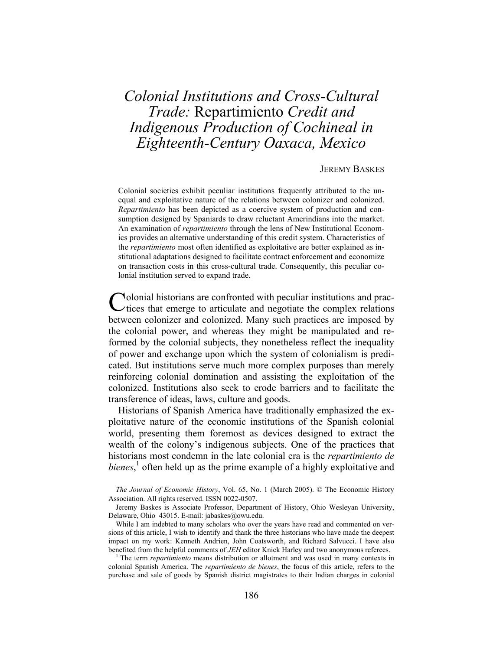# *Colonial Institutions and Cross-Cultural Trade:* Repartimiento *Credit and Indigenous Production of Cochineal in Eighteenth-Century Oaxaca, Mexico*

#### JEREMY BASKES

Colonial societies exhibit peculiar institutions frequently attributed to the unequal and exploitative nature of the relations between colonizer and colonized. *Repartimiento* has been depicted as a coercive system of production and consumption designed by Spaniards to draw reluctant Amerindians into the market. An examination of *repartimiento* through the lens of New Institutional Economics provides an alternative understanding of this credit system. Characteristics of the *repartimiento* most often identified as exploitative are better explained as institutional adaptations designed to facilitate contract enforcement and economize on transaction costs in this cross-cultural trade. Consequently, this peculiar colonial institution served to expand trade.

olonial historians are confronted with peculiar institutions and prac-Colonial historians are confronted with peculiar institutions and practices that emerge to articulate and negotiate the complex relations between colonizer and colonized. Many such practices are imposed by the colonial power, and whereas they might be manipulated and reformed by the colonial subjects, they nonetheless reflect the inequality of power and exchange upon which the system of colonialism is predicated. But institutions serve much more complex purposes than merely reinforcing colonial domination and assisting the exploitation of the colonized. Institutions also seek to erode barriers and to facilitate the transference of ideas, laws, culture and goods.

 Historians of Spanish America have traditionally emphasized the exploitative nature of the economic institutions of the Spanish colonial world, presenting them foremost as devices designed to extract the wealth of the colony's indigenous subjects. One of the practices that historians most condemn in the late colonial era is the *repartimiento de*  bienes,<sup>1</sup> often held up as the prime example of a highly exploitative and

*The Journal of Economic History*, Vol. 65, No. 1 (March 2005). © The Economic History Association. All rights reserved. ISSN 0022-0507.

Jeremy Baskes is Associate Professor, Department of History, Ohio Wesleyan University, Delaware, Ohio 43015. E-mail: jabaskes@owu.edu.

While I am indebted to many scholars who over the years have read and commented on versions of this article, I wish to identify and thank the three historians who have made the deepest impact on my work: Kenneth Andrien, John Coatsworth, and Richard Salvucci. I have also benefited from the helpful comments of *JEH* editor Knick Harley and two anonymous referees. 1

<sup>1</sup> The term *repartimiento* means distribution or allotment and was used in many contexts in colonial Spanish America. The *repartimiento de bienes*, the focus of this article, refers to the purchase and sale of goods by Spanish district magistrates to their Indian charges in colonial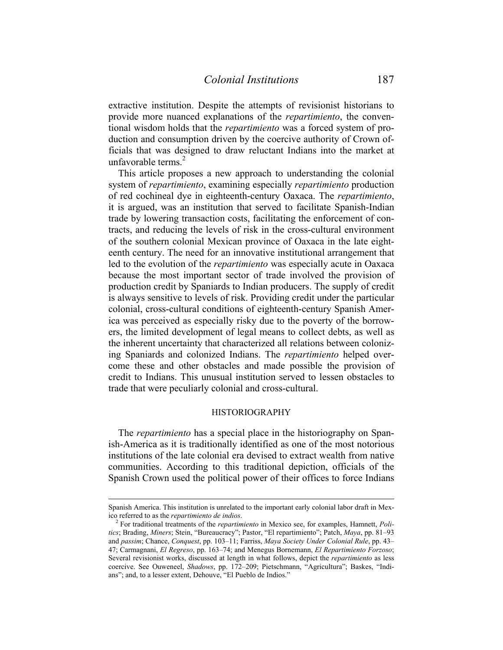extractive institution. Despite the attempts of revisionist historians to provide more nuanced explanations of the *repartimiento*, the conventional wisdom holds that the *repartimiento* was a forced system of production and consumption driven by the coercive authority of Crown officials that was designed to draw reluctant Indians into the market at unfavorable terms. $2$ 

 This article proposes a new approach to understanding the colonial system of *repartimiento*, examining especially *repartimiento* production of red cochineal dye in eighteenth-century Oaxaca. The *repartimiento*, it is argued, was an institution that served to facilitate Spanish-Indian trade by lowering transaction costs, facilitating the enforcement of contracts, and reducing the levels of risk in the cross-cultural environment of the southern colonial Mexican province of Oaxaca in the late eighteenth century. The need for an innovative institutional arrangement that led to the evolution of the *repartimiento* was especially acute in Oaxaca because the most important sector of trade involved the provision of production credit by Spaniards to Indian producers. The supply of credit is always sensitive to levels of risk. Providing credit under the particular colonial, cross-cultural conditions of eighteenth-century Spanish America was perceived as especially risky due to the poverty of the borrowers, the limited development of legal means to collect debts, as well as the inherent uncertainty that characterized all relations between colonizing Spaniards and colonized Indians. The *repartimiento* helped overcome these and other obstacles and made possible the provision of credit to Indians. This unusual institution served to lessen obstacles to trade that were peculiarly colonial and cross-cultural.

### HISTORIOGRAPHY

 The *repartimiento* has a special place in the historiography on Spanish-America as it is traditionally identified as one of the most notorious institutions of the late colonial era devised to extract wealth from native communities. According to this traditional depiction, officials of the Spanish Crown used the political power of their offices to force Indians

 $\overline{a}$ 

Spanish America. This institution is unrelated to the important early colonial labor draft in Mexico referred to as the *repartimiento de indios*. 2

For traditional treatments of the *repartimiento* in Mexico see, for examples, Hamnett, *Politics*; Brading, *Miners*; Stein, "Bureaucracy"; Pastor, "El repartimiento"; Patch, *Maya*, pp. 81–93 and *passim*; Chance, *Conquest*, pp. 103–11; Farriss, *Maya Society Under Colonial Rule*, pp. 43– 47; Carmagnani, *El Regreso*, pp. 163–74; and Menegus Bornemann, *El Repartimiento Forzoso*; Several revisionist works, discussed at length in what follows, depict the *repartimiento* as less coercive. See Ouweneel, *Shadows*, pp. 172–209; Pietschmann, "Agricultura"; Baskes, "Indians"; and, to a lesser extent, Dehouve, "El Pueblo de Indios."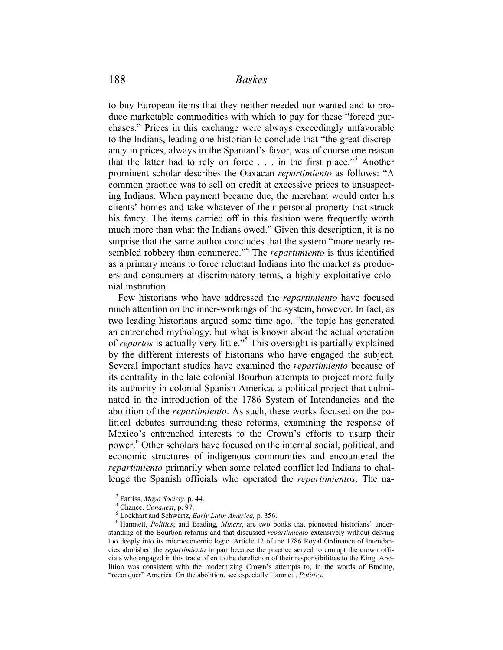to buy European items that they neither needed nor wanted and to produce marketable commodities with which to pay for these "forced purchases." Prices in this exchange were always exceedingly unfavorable to the Indians, leading one historian to conclude that "the great discrepancy in prices, always in the Spaniard's favor, was of course one reason that the latter had to rely on force . . . in the first place."3 Another prominent scholar describes the Oaxacan *repartimiento* as follows: "A common practice was to sell on credit at excessive prices to unsuspecting Indians. When payment became due, the merchant would enter his clients' homes and take whatever of their personal property that struck his fancy. The items carried off in this fashion were frequently worth much more than what the Indians owed." Given this description, it is no surprise that the same author concludes that the system "more nearly resembled robbery than commerce."<sup>4</sup> The *repartimiento* is thus identified as a primary means to force reluctant Indians into the market as producers and consumers at discriminatory terms, a highly exploitative colonial institution.

 Few historians who have addressed the *repartimiento* have focused much attention on the inner-workings of the system, however. In fact, as two leading historians argued some time ago, "the topic has generated an entrenched mythology, but what is known about the actual operation of *repartos* is actually very little."<sup>5</sup> This oversight is partially explained by the different interests of historians who have engaged the subject. Several important studies have examined the *repartimiento* because of its centrality in the late colonial Bourbon attempts to project more fully its authority in colonial Spanish America, a political project that culminated in the introduction of the 1786 System of Intendancies and the abolition of the *repartimiento*. As such, these works focused on the political debates surrounding these reforms, examining the response of Mexico's entrenched interests to the Crown's efforts to usurp their power.<sup>6</sup> Other scholars have focused on the internal social, political, and economic structures of indigenous communities and encountered the *repartimiento* primarily when some related conflict led Indians to challenge the Spanish officials who operated the *repartimientos*. The na-

<sup>6</sup> Hamnett, *Politics*; and Brading, *Miners*, are two books that pioneered historians' understanding of the Bourbon reforms and that discussed *repartimiento* extensively without delving too deeply into its microeconomic logic. Article 12 of the 1786 Royal Ordinance of Intendancies abolished the *repartimiento* in part because the practice served to corrupt the crown officials who engaged in this trade often to the dereliction of their responsibilities to the King. Abolition was consistent with the modernizing Crown's attempts to, in the words of Brading, "reconquer" America. On the abolition, see especially Hamnett, *Politics*.

<sup>&</sup>lt;sup>3</sup> Farriss, *Maya Society*, p. 44.

 $^{4}$  Chance, *Conquest*, p. 97.<br> $^{5}$  Lockhert and Schwertz, *E* 

<sup>&</sup>lt;sup>5</sup> Lockhart and Schwartz, *Early Latin America*, p. 356.<br><sup>6</sup> Hampatt, *Politics*: and Proding, *Miners*, are two be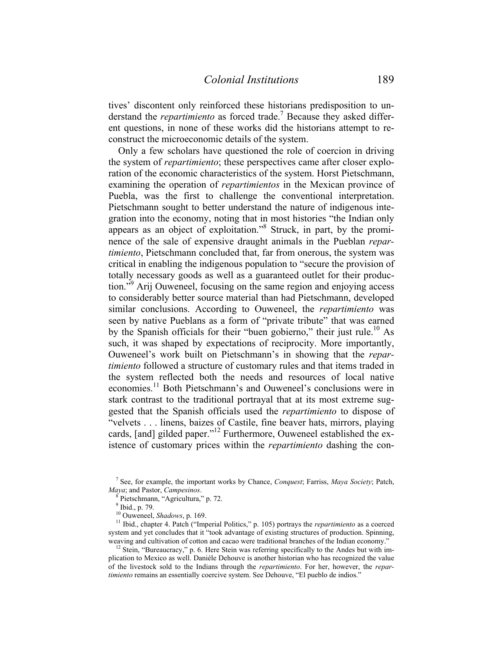tives' discontent only reinforced these historians predisposition to understand the *repartimiento* as forced trade.<sup>7</sup> Because they asked different questions, in none of these works did the historians attempt to reconstruct the microeconomic details of the system.

 Only a few scholars have questioned the role of coercion in driving the system of *repartimiento*; these perspectives came after closer exploration of the economic characteristics of the system. Horst Pietschmann, examining the operation of *repartimientos* in the Mexican province of Puebla, was the first to challenge the conventional interpretation. Pietschmann sought to better understand the nature of indigenous integration into the economy, noting that in most histories "the Indian only appears as an object of exploitation."8 Struck, in part, by the prominence of the sale of expensive draught animals in the Pueblan *repartimiento*, Pietschmann concluded that, far from onerous, the system was critical in enabling the indigenous population to "secure the provision of totally necessary goods as well as a guaranteed outlet for their production."<sup>9</sup> Arij Ouweneel, focusing on the same region and enjoying access to considerably better source material than had Pietschmann, developed similar conclusions. According to Ouweneel, the *repartimiento* was seen by native Pueblans as a form of "private tribute" that was earned by the Spanish officials for their "buen gobierno," their just rule.<sup>10</sup> As such, it was shaped by expectations of reciprocity. More importantly, Ouweneel's work built on Pietschmann's in showing that the *repartimiento* followed a structure of customary rules and that items traded in the system reflected both the needs and resources of local native economies.11 Both Pietschmann's and Ouweneel's conclusions were in stark contrast to the traditional portrayal that at its most extreme suggested that the Spanish officials used the *repartimiento* to dispose of "velvets . . . linens, baizes of Castile, fine beaver hats, mirrors, playing cards, [and] gilded paper."<sup>12</sup> Furthermore, Ouweneel established the existence of customary prices within the *repartimiento* dashing the con-

<sup>7</sup> See, for example, the important works by Chance, *Conquest*; Farriss, *Maya Society*; Patch,

*Maya*; and Pastor, *Campesinos*. 8 Pietschmann, "Agricultura," p. 72.

 $<sup>9</sup>$  Ibid., p. 79.</sup>

<sup>10</sup> Ouweneel, *Shadows*, p. 169.<br><sup>10</sup> Ouweneel, *Shadows*, p. 169.<br><sup>11</sup> Ibid., chapter 4. Patch ("Imperial Politics," p. 105) portrays the *repartimiento* as a coerced system and yet concludes that it "took advantage of existing structures of production. Spinning, weaving and cultivation of cotton and cacao were traditional branches of the Indian economy."

<sup>&</sup>lt;sup>12</sup> Stein, "Bureaucracy," p. 6. Here Stein was referring specifically to the Andes but with implication to Mexico as well. Danièle Dehouve is another historian who has recognized the value of the livestock sold to the Indians through the *repartimiento*. For her, however, the *repartimiento* remains an essentially coercive system. See Dehouve, "El pueblo de indios."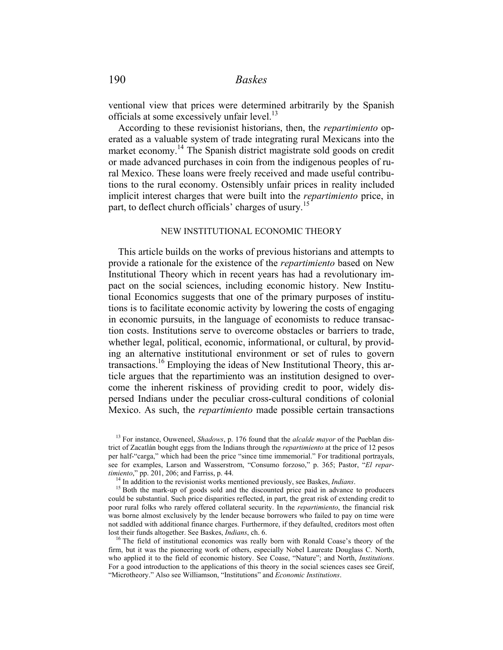ventional view that prices were determined arbitrarily by the Spanish officials at some excessively unfair level.<sup>13</sup>

 According to these revisionist historians, then, the *repartimiento* operated as a valuable system of trade integrating rural Mexicans into the market economy.<sup>14</sup> The Spanish district magistrate sold goods on credit or made advanced purchases in coin from the indigenous peoples of rural Mexico. These loans were freely received and made useful contributions to the rural economy. Ostensibly unfair prices in reality included implicit interest charges that were built into the *repartimiento* price, in part, to deflect church officials' charges of usury.<sup>15</sup>

#### NEW INSTITUTIONAL ECONOMIC THEORY

 This article builds on the works of previous historians and attempts to provide a rationale for the existence of the *repartimiento* based on New Institutional Theory which in recent years has had a revolutionary impact on the social sciences, including economic history. New Institutional Economics suggests that one of the primary purposes of institutions is to facilitate economic activity by lowering the costs of engaging in economic pursuits, in the language of economists to reduce transaction costs. Institutions serve to overcome obstacles or barriers to trade, whether legal, political, economic, informational, or cultural, by providing an alternative institutional environment or set of rules to govern transactions.16 Employing the ideas of New Institutional Theory, this article argues that the repartimiento was an institution designed to overcome the inherent riskiness of providing credit to poor, widely dispersed Indians under the peculiar cross-cultural conditions of colonial Mexico. As such, the *repartimiento* made possible certain transactions

<sup>13</sup> For instance, Ouweneel, *Shadows*, p. 176 found that the *alcalde mayor* of the Pueblan district of Zacatlán bought eggs from the Indians through the *repartimiento* at the price of 12 pesos per half-"carga," which had been the price "since time immemorial." For traditional portrayals, see for examples, Larson and Wasserstrom, "Consumo forzoso," p. 365; Pastor, "*El repartimiento*," pp. 201, 206; and Farriss, p. 44.

<sup>&</sup>lt;sup>14</sup> In addition to the revisionist works mentioned previously, see Baskes, *Indians*.<br><sup>15</sup> Both the mark-up of goods sold and the discounted price paid in advance to producers could be substantial. Such price disparities reflected, in part, the great risk of extending credit to poor rural folks who rarely offered collateral security. In the *repartimiento*, the financial risk was borne almost exclusively by the lender because borrowers who failed to pay on time were not saddled with additional finance charges. Furthermore, if they defaulted, creditors most often lost their funds altogether. See Baskes, *Indians*, ch. 6. 16. 16 Institutional economics was really born with Ronald Coase's theory of the

firm, but it was the pioneering work of others, especially Nobel Laureate Douglass C. North, who applied it to the field of economic history. See Coase, "Nature"; and North, *Institutions*. For a good introduction to the applications of this theory in the social sciences cases see Greif, "Microtheory." Also see Williamson, "Institutions" and *Economic Institutions*.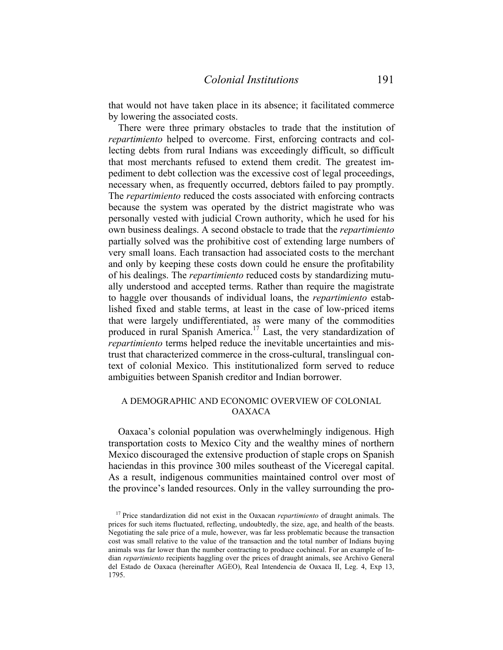that would not have taken place in its absence; it facilitated commerce by lowering the associated costs.

 There were three primary obstacles to trade that the institution of *repartimiento* helped to overcome. First, enforcing contracts and collecting debts from rural Indians was exceedingly difficult, so difficult that most merchants refused to extend them credit. The greatest impediment to debt collection was the excessive cost of legal proceedings, necessary when, as frequently occurred, debtors failed to pay promptly. The *repartimiento* reduced the costs associated with enforcing contracts because the system was operated by the district magistrate who was personally vested with judicial Crown authority, which he used for his own business dealings. A second obstacle to trade that the *repartimiento* partially solved was the prohibitive cost of extending large numbers of very small loans. Each transaction had associated costs to the merchant and only by keeping these costs down could he ensure the profitability of his dealings. The *repartimiento* reduced costs by standardizing mutually understood and accepted terms. Rather than require the magistrate to haggle over thousands of individual loans, the *repartimiento* established fixed and stable terms, at least in the case of low-priced items that were largely undifferentiated, as were many of the commodities produced in rural Spanish America.17 Last, the very standardization of *repartimiento* terms helped reduce the inevitable uncertainties and mistrust that characterized commerce in the cross-cultural, translingual context of colonial Mexico. This institutionalized form served to reduce ambiguities between Spanish creditor and Indian borrower.

#### A DEMOGRAPHIC AND ECONOMIC OVERVIEW OF COLONIAL OAXACA

 Oaxaca's colonial population was overwhelmingly indigenous. High transportation costs to Mexico City and the wealthy mines of northern Mexico discouraged the extensive production of staple crops on Spanish haciendas in this province 300 miles southeast of the Viceregal capital. As a result, indigenous communities maintained control over most of the province's landed resources. Only in the valley surrounding the pro-

<sup>17</sup> Price standardization did not exist in the Oaxacan *repartimiento* of draught animals. The prices for such items fluctuated, reflecting, undoubtedly, the size, age, and health of the beasts. Negotiating the sale price of a mule, however, was far less problematic because the transaction cost was small relative to the value of the transaction and the total number of Indians buying animals was far lower than the number contracting to produce cochineal. For an example of Indian *repartimiento* recipients haggling over the prices of draught animals, see Archivo General del Estado de Oaxaca (hereinafter AGEO), Real Intendencia de Oaxaca II, Leg. 4, Exp 13, 1795.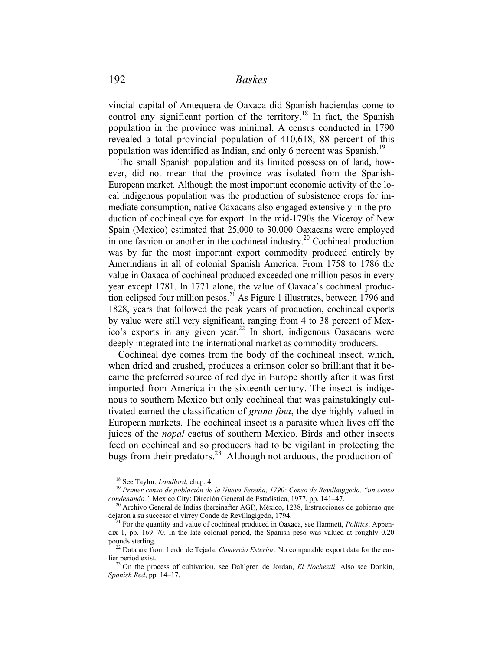vincial capital of Antequera de Oaxaca did Spanish haciendas come to control any significant portion of the territory.<sup>18</sup> In fact, the Spanish population in the province was minimal. A census conducted in 1790 revealed a total provincial population of 410,618; 88 percent of this population was identified as Indian, and only 6 percent was Spanish.<sup>19</sup>

 The small Spanish population and its limited possession of land, however, did not mean that the province was isolated from the Spanish-European market. Although the most important economic activity of the local indigenous population was the production of subsistence crops for immediate consumption, native Oaxacans also engaged extensively in the production of cochineal dye for export. In the mid-1790s the Viceroy of New Spain (Mexico) estimated that 25,000 to 30,000 Oaxacans were employed in one fashion or another in the cochineal industry.<sup>20</sup> Cochineal production was by far the most important export commodity produced entirely by Amerindians in all of colonial Spanish America. From 1758 to 1786 the value in Oaxaca of cochineal produced exceeded one million pesos in every year except 1781. In 1771 alone, the value of Oaxaca's cochineal production eclipsed four million pesos.<sup>21</sup> As Figure 1 illustrates, between 1796 and 1828, years that followed the peak years of production, cochineal exports by value were still very significant, ranging from 4 to 38 percent of Mexico's exports in any given year.<sup>22</sup> In short, indigenous Oaxacans were deeply integrated into the international market as commodity producers.

 Cochineal dye comes from the body of the cochineal insect, which, when dried and crushed, produces a crimson color so brilliant that it became the preferred source of red dye in Europe shortly after it was first imported from America in the sixteenth century. The insect is indigenous to southern Mexico but only cochineal that was painstakingly cultivated earned the classification of *grana fina*, the dye highly valued in European markets. The cochineal insect is a parasite which lives off the juices of the *nopal* cactus of southern Mexico. Birds and other insects feed on cochineal and so producers had to be vigilant in protecting the bugs from their predators.<sup>23</sup> Although not arduous, the production of

<sup>18</sup> See Taylor, *Landlord*, chap. 4. 19 *Primer censo de población de la Nueva España, 1790: Censo de Revillagigedo, "un censo* 

<sup>&</sup>lt;sup>20</sup> Archivo General de Indias (hereinafter AGI), México, 1238, Instrucciones de gobierno que dejaron a su succesor el virrey Conde de Revillagigedo, 1794. 21 For the quantity and value of cochineal produced in Oaxaca, see Hamnett, *Politics*, Appen-

dix 1, pp. 169–70. In the late colonial period, the Spanish peso was valued at roughly 0.20

pounds sterling.<br><sup>22</sup> Data are from Lerdo de Tejada, *Comercio Esterior*. No comparable export data for the ear-<br>lier period exist.

<sup>&</sup>lt;sup>23</sup> On the process of cultivation, see Dahlgren de Jordán, *El Nocheztli*. Also see Donkin, *Spanish Red*, pp. 14–17.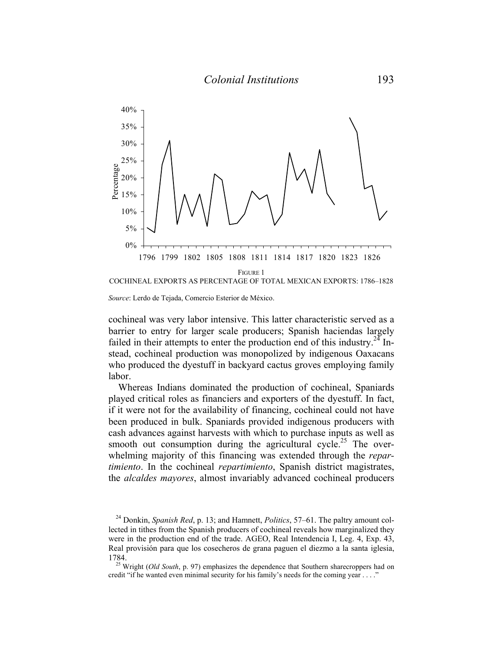

*Source*: Lerdo de Tejada, Comercio Esterior de México.

cochineal was very labor intensive. This latter characteristic served as a barrier to entry for larger scale producers; Spanish haciendas largely failed in their attempts to enter the production end of this industry.<sup>24</sup> Instead, cochineal production was monopolized by indigenous Oaxacans who produced the dyestuff in backyard cactus groves employing family labor.

 Whereas Indians dominated the production of cochineal, Spaniards played critical roles as financiers and exporters of the dyestuff. In fact, if it were not for the availability of financing, cochineal could not have been produced in bulk. Spaniards provided indigenous producers with cash advances against harvests with which to purchase inputs as well as smooth out consumption during the agricultural cycle.<sup>25</sup> The overwhelming majority of this financing was extended through the *repartimiento*. In the cochineal *repartimiento*, Spanish district magistrates, the *alcaldes mayores*, almost invariably advanced cochineal producers

<sup>24</sup> Donkin, *Spanish Red*, p. 13; and Hamnett, *Politics*, 57–61. The paltry amount collected in tithes from the Spanish producers of cochineal reveals how marginalized they were in the production end of the trade. AGEO, Real Intendencia I, Leg. 4, Exp. 43, Real provisión para que los cosecheros de grana paguen el diezmo a la santa iglesia, 1784. 25 Wright (*Old South*, p. 97) emphasizes the dependence that Southern sharecroppers had on

credit "if he wanted even minimal security for his family's needs for the coming year . . . ."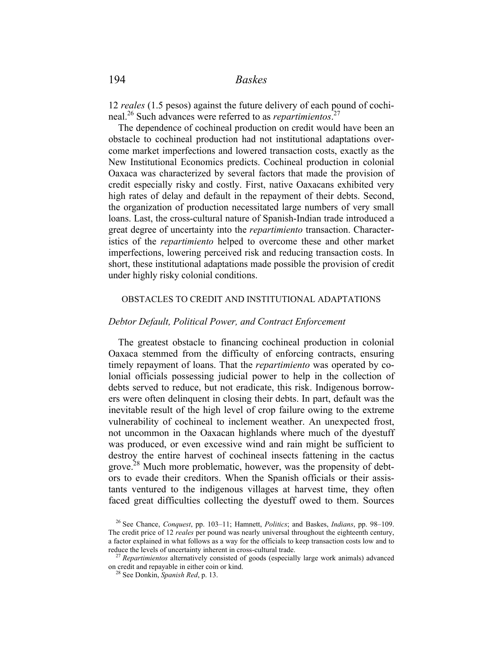12 *reales* (1.5 pesos) against the future delivery of each pound of cochineal.26 Such advances were referred to as *repartimientos*. 27

 The dependence of cochineal production on credit would have been an obstacle to cochineal production had not institutional adaptations overcome market imperfections and lowered transaction costs, exactly as the New Institutional Economics predicts. Cochineal production in colonial Oaxaca was characterized by several factors that made the provision of credit especially risky and costly. First, native Oaxacans exhibited very high rates of delay and default in the repayment of their debts. Second, the organization of production necessitated large numbers of very small loans. Last, the cross-cultural nature of Spanish-Indian trade introduced a great degree of uncertainty into the *repartimiento* transaction. Characteristics of the *repartimiento* helped to overcome these and other market imperfections, lowering perceived risk and reducing transaction costs. In short, these institutional adaptations made possible the provision of credit under highly risky colonial conditions.

#### OBSTACLES TO CREDIT AND INSTITUTIONAL ADAPTATIONS

### *Debtor Default, Political Power, and Contract Enforcement*

The greatest obstacle to financing cochineal production in colonial Oaxaca stemmed from the difficulty of enforcing contracts, ensuring timely repayment of loans. That the *repartimiento* was operated by colonial officials possessing judicial power to help in the collection of debts served to reduce, but not eradicate, this risk. Indigenous borrowers were often delinquent in closing their debts. In part, default was the inevitable result of the high level of crop failure owing to the extreme vulnerability of cochineal to inclement weather. An unexpected frost, not uncommon in the Oaxacan highlands where much of the dyestuff was produced, or even excessive wind and rain might be sufficient to destroy the entire harvest of cochineal insects fattening in the cactus grove.<sup>28</sup> Much more problematic, however, was the propensity of debtors to evade their creditors. When the Spanish officials or their assistants ventured to the indigenous villages at harvest time, they often faced great difficulties collecting the dyestuff owed to them. Sources

<sup>26</sup> See Chance, *Conquest*, pp. 103–11; Hamnett, *Politics*; and Baskes, *Indians*, pp. 98–109. The credit price of 12 *reales* per pound was nearly universal throughout the eighteenth century, a factor explained in what follows as a way for the officials to keep transaction costs low and to reduce the levels of uncertainty inherent in cross-cultural trade. 27 *Repartimientos* alternatively consisted of goods (especially large work animals) advanced

on credit and repayable in either coin or kind. 28 See Donkin, *Spanish Red*, p. 13.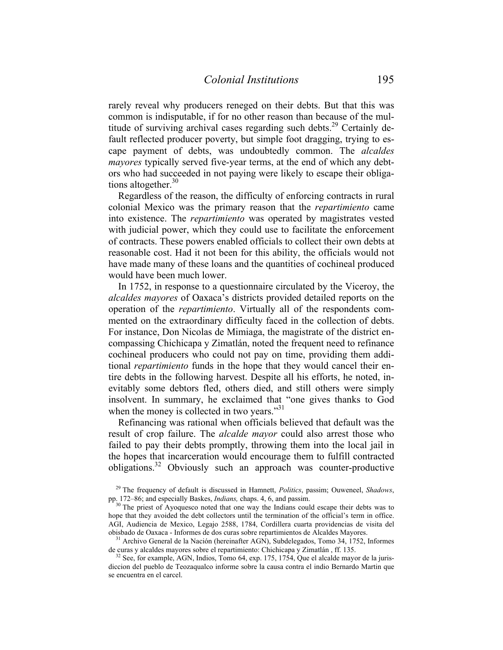rarely reveal why producers reneged on their debts. But that this was common is indisputable, if for no other reason than because of the multitude of surviving archival cases regarding such debts.<sup>29</sup> Certainly default reflected producer poverty, but simple foot dragging, trying to escape payment of debts, was undoubtedly common. The *alcaldes mayores* typically served five-year terms, at the end of which any debtors who had succeeded in not paying were likely to escape their obligations altogether. $30$ 

 Regardless of the reason, the difficulty of enforcing contracts in rural colonial Mexico was the primary reason that the *repartimiento* came into existence. The *repartimiento* was operated by magistrates vested with judicial power, which they could use to facilitate the enforcement of contracts. These powers enabled officials to collect their own debts at reasonable cost. Had it not been for this ability, the officials would not have made many of these loans and the quantities of cochineal produced would have been much lower.

 In 1752, in response to a questionnaire circulated by the Viceroy, the *alcaldes mayores* of Oaxaca's districts provided detailed reports on the operation of the *repartimiento*. Virtually all of the respondents commented on the extraordinary difficulty faced in the collection of debts. For instance, Don Nicolas de Mimiaga, the magistrate of the district encompassing Chichicapa y Zimatlán, noted the frequent need to refinance cochineal producers who could not pay on time, providing them additional *repartimiento* funds in the hope that they would cancel their entire debts in the following harvest. Despite all his efforts, he noted, inevitably some debtors fled, others died, and still others were simply insolvent. In summary, he exclaimed that "one gives thanks to God when the money is collected in two years." $31$ 

 Refinancing was rational when officials believed that default was the result of crop failure. The *alcalde mayor* could also arrest those who failed to pay their debts promptly, throwing them into the local jail in the hopes that incarceration would encourage them to fulfill contracted obligations.<sup>32</sup> Obviously such an approach was counter-productive

obisbado de Oaxaca - Informes de dos curas sobre repartimientos de Alcaldes Mayores.<br><sup>31</sup> Archivo General de la Nación (hereinafter AGN), Subdelegados, Tomo 34, 1752, Informes de curas y alcaldes mayores sobre el repartimi

 $32$  See, for example, AGN, Indios, Tomo 64, exp. 175, 1754, Que el alcalde mayor de la jurisdiccion del pueblo de Teozaqualco informe sobre la causa contra el indio Bernardo Martin que se encuentra en el carcel.

<sup>29</sup> The frequency of default is discussed in Hamnett, *Politics*, passim; Ouweneel, *Shadows*, pp. 172–86; and especially Baskes, *Indians*, chaps. 4, 6, and passim.<br><sup>30</sup> The priest of Ayoquesco noted that one way the Indians could escape their debts was to

hope that they avoided the debt collectors until the termination of the official's term in office. AGI, Audiencia de Mexico, Legajo 2588, 1784, Cordillera cuarta providencias de visita del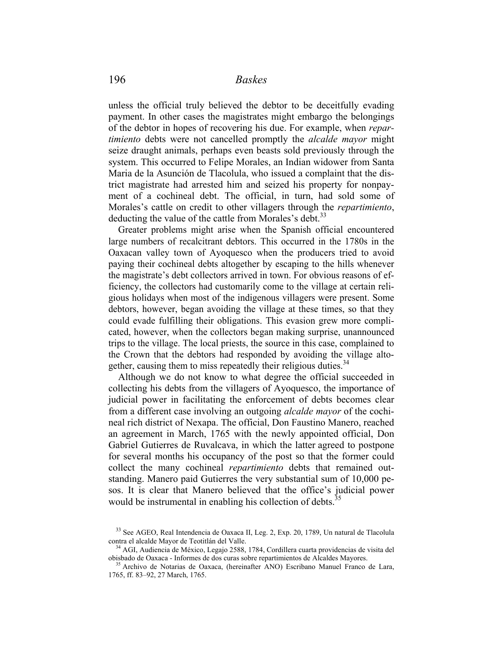unless the official truly believed the debtor to be deceitfully evading payment. In other cases the magistrates might embargo the belongings of the debtor in hopes of recovering his due. For example, when *repartimiento* debts were not cancelled promptly the *alcalde mayor* might seize draught animals, perhaps even beasts sold previously through the system. This occurred to Felipe Morales, an Indian widower from Santa Maria de la Asunción de Tlacolula, who issued a complaint that the district magistrate had arrested him and seized his property for nonpayment of a cochineal debt. The official, in turn, had sold some of Morales's cattle on credit to other villagers through the *repartimiento*, deducting the value of the cattle from Morales's debt.<sup>33</sup>

 Greater problems might arise when the Spanish official encountered large numbers of recalcitrant debtors. This occurred in the 1780s in the Oaxacan valley town of Ayoquesco when the producers tried to avoid paying their cochineal debts altogether by escaping to the hills whenever the magistrate's debt collectors arrived in town. For obvious reasons of efficiency, the collectors had customarily come to the village at certain religious holidays when most of the indigenous villagers were present. Some debtors, however, began avoiding the village at these times, so that they could evade fulfilling their obligations. This evasion grew more complicated, however, when the collectors began making surprise, unannounced trips to the village. The local priests, the source in this case, complained to the Crown that the debtors had responded by avoiding the village altogether, causing them to miss repeatedly their religious duties.<sup>34</sup>

 Although we do not know to what degree the official succeeded in collecting his debts from the villagers of Ayoquesco, the importance of judicial power in facilitating the enforcement of debts becomes clear from a different case involving an outgoing *alcalde mayor* of the cochineal rich district of Nexapa. The official, Don Faustino Manero, reached an agreement in March, 1765 with the newly appointed official, Don Gabriel Gutierres de Ruvalcava, in which the latter agreed to postpone for several months his occupancy of the post so that the former could collect the many cochineal *repartimiento* debts that remained outstanding. Manero paid Gutierres the very substantial sum of 10,000 pesos. It is clear that Manero believed that the office's judicial power would be instrumental in enabling his collection of debts.<sup>35</sup>

<sup>&</sup>lt;sup>33</sup> See AGEO, Real Intendencia de Oaxaca II, Leg. 2, Exp. 20, 1789, Un natural de Tlacolula contra el alcalde Mayor de Teotitlán del Valle.

<sup>&</sup>lt;sup>34</sup> AGI, Audiencia de México, Legajo 2588, 1784, Cordillera cuarta providencias de visita del obisbado de Oaxaca - Informes de dos curas sobre repartimientos de Alcaldes Mayores. 35 Archivo de Notarias de Oaxaca, (hereinafter ANO) Escribano Manuel Franco de Lara,

<sup>1765,</sup> ff. 83–92, 27 March, 1765.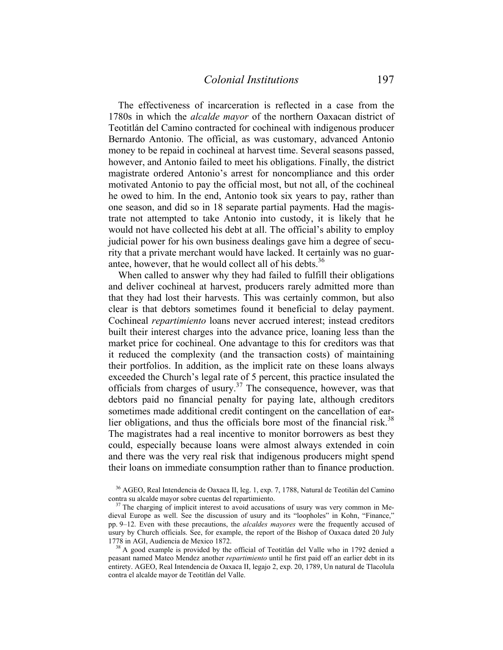The effectiveness of incarceration is reflected in a case from the 1780s in which the *alcalde mayor* of the northern Oaxacan district of Teotitlán del Camino contracted for cochineal with indigenous producer Bernardo Antonio. The official, as was customary, advanced Antonio money to be repaid in cochineal at harvest time. Several seasons passed, however, and Antonio failed to meet his obligations. Finally, the district magistrate ordered Antonio's arrest for noncompliance and this order motivated Antonio to pay the official most, but not all, of the cochineal he owed to him. In the end, Antonio took six years to pay, rather than one season, and did so in 18 separate partial payments. Had the magistrate not attempted to take Antonio into custody, it is likely that he would not have collected his debt at all. The official's ability to employ judicial power for his own business dealings gave him a degree of security that a private merchant would have lacked. It certainly was no guarantee, however, that he would collect all of his debts.<sup>36</sup>

 When called to answer why they had failed to fulfill their obligations and deliver cochineal at harvest, producers rarely admitted more than that they had lost their harvests. This was certainly common, but also clear is that debtors sometimes found it beneficial to delay payment. Cochineal *repartimiento* loans never accrued interest; instead creditors built their interest charges into the advance price, loaning less than the market price for cochineal. One advantage to this for creditors was that it reduced the complexity (and the transaction costs) of maintaining their portfolios. In addition, as the implicit rate on these loans always exceeded the Church's legal rate of 5 percent, this practice insulated the officials from charges of usury.<sup>37</sup> The consequence, however, was that debtors paid no financial penalty for paying late, although creditors sometimes made additional credit contingent on the cancellation of earlier obligations, and thus the officials bore most of the financial risk. $38$ The magistrates had a real incentive to monitor borrowers as best they could, especially because loans were almost always extended in coin and there was the very real risk that indigenous producers might spend their loans on immediate consumption rather than to finance production.

<sup>36</sup> AGEO, Real Intendencia de Oaxaca II, leg. 1, exp. 7, 1788, Natural de Teotilán del Camino contra su alcalde mayor sobre cuentas del repartimiento.<br><sup>37</sup> The charging of implicit interest to avoid accusations of usury was very common in Me-

dieval Europe as well. See the discussion of usury and its "loopholes" in Kohn, "Finance," pp. 9–12. Even with these precautions, the *alcaldes mayores* were the frequently accused of usury by Church officials. See, for example, the report of the Bishop of Oaxaca dated 20 July

 $38$  A good example is provided by the official of Teotitlán del Valle who in 1792 denied a peasant named Mateo Mendez another *repartimiento* until he first paid off an earlier debt in its entirety. AGEO, Real Intendencia de Oaxaca II, legajo 2, exp. 20, 1789, Un natural de Tlacolula contra el alcalde mayor de Teotitlán del Valle.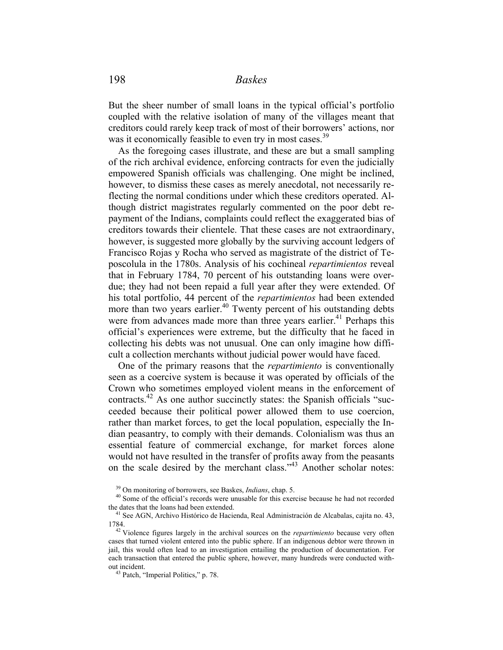But the sheer number of small loans in the typical official's portfolio coupled with the relative isolation of many of the villages meant that creditors could rarely keep track of most of their borrowers' actions, nor was it economically feasible to even try in most cases.<sup>39</sup>

 As the foregoing cases illustrate, and these are but a small sampling of the rich archival evidence, enforcing contracts for even the judicially empowered Spanish officials was challenging. One might be inclined, however, to dismiss these cases as merely anecdotal, not necessarily reflecting the normal conditions under which these creditors operated. Although district magistrates regularly commented on the poor debt repayment of the Indians, complaints could reflect the exaggerated bias of creditors towards their clientele. That these cases are not extraordinary, however, is suggested more globally by the surviving account ledgers of Francisco Rojas y Rocha who served as magistrate of the district of Teposcolula in the 1780s. Analysis of his cochineal *repartimientos* reveal that in February 1784, 70 percent of his outstanding loans were overdue; they had not been repaid a full year after they were extended. Of his total portfolio, 44 percent of the *repartimientos* had been extended more than two years earlier.<sup>40</sup> Twenty percent of his outstanding debts were from advances made more than three years earlier.<sup>41</sup> Perhaps this official's experiences were extreme, but the difficulty that he faced in collecting his debts was not unusual. One can only imagine how difficult a collection merchants without judicial power would have faced.

 One of the primary reasons that the *repartimiento* is conventionally seen as a coercive system is because it was operated by officials of the Crown who sometimes employed violent means in the enforcement of contracts.42 As one author succinctly states: the Spanish officials "succeeded because their political power allowed them to use coercion, rather than market forces, to get the local population, especially the Indian peasantry, to comply with their demands. Colonialism was thus an essential feature of commercial exchange, for market forces alone would not have resulted in the transfer of profits away from the peasants on the scale desired by the merchant class."<sup>43</sup> Another scholar notes:

<sup>&</sup>lt;sup>39</sup> On monitoring of borrowers, see Baskes, *Indians*, chap. 5.<br><sup>40</sup> Some of the official's records were unusable for this exercise because he had not recorded the dates that the loans had been extended.<br><sup>41</sup> See AGN, Archivo Histórico de Hacienda, Real Administración de Alcabalas, cajita no. 43,

<sup>1784. 42</sup> Violence figures largely in the archival sources on the *repartimiento* because very often cases that turned violent entered into the public sphere. If an indigenous debtor were thrown in jail, this would often lead to an investigation entailing the production of documentation. For each transaction that entered the public sphere, however, many hundreds were conducted without incident. 43 Patch, "Imperial Politics," p. 78.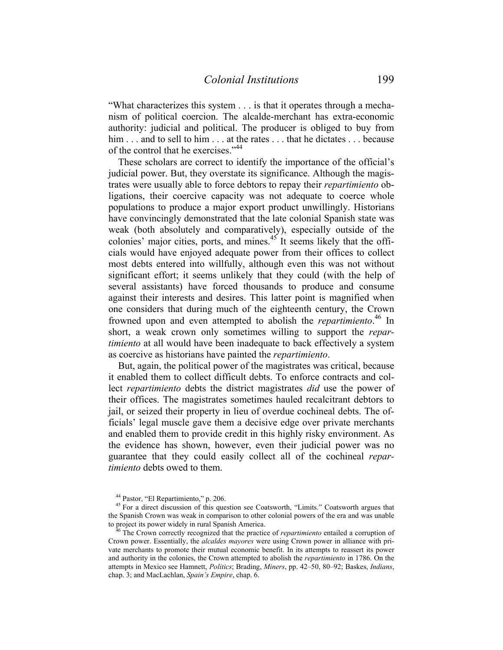"What characterizes this system . . . is that it operates through a mechanism of political coercion. The alcalde-merchant has extra-economic authority: judicial and political. The producer is obliged to buy from him . . . and to sell to him . . . at the rates . . . that he dictates . . . because of the control that he exercises."44

 These scholars are correct to identify the importance of the official's judicial power. But, they overstate its significance. Although the magistrates were usually able to force debtors to repay their *repartimiento* obligations, their coercive capacity was not adequate to coerce whole populations to produce a major export product unwillingly. Historians have convincingly demonstrated that the late colonial Spanish state was weak (both absolutely and comparatively), especially outside of the colonies' major cities, ports, and mines.<sup>45 It</sup> seems likely that the officials would have enjoyed adequate power from their offices to collect most debts entered into willfully, although even this was not without significant effort; it seems unlikely that they could (with the help of several assistants) have forced thousands to produce and consume against their interests and desires. This latter point is magnified when one considers that during much of the eighteenth century, the Crown frowned upon and even attempted to abolish the *repartimiento*. 46 In short, a weak crown only sometimes willing to support the *repartimiento* at all would have been inadequate to back effectively a system as coercive as historians have painted the *repartimiento*.

 But, again, the political power of the magistrates was critical, because it enabled them to collect difficult debts. To enforce contracts and collect *repartimiento* debts the district magistrates *did* use the power of their offices. The magistrates sometimes hauled recalcitrant debtors to jail, or seized their property in lieu of overdue cochineal debts. The officials' legal muscle gave them a decisive edge over private merchants and enabled them to provide credit in this highly risky environment. As the evidence has shown, however, even their judicial power was no guarantee that they could easily collect all of the cochineal *repartimiento* debts owed to them.

<sup>44</sup> Pastor, "El Repartimiento," p. 206.

<sup>&</sup>lt;sup>45</sup> For a direct discussion of this question see Coatsworth, "Limits." Coatsworth argues that the Spanish Crown was weak in comparison to other colonial powers of the era and was unable to project its power widely in rural Spanish America.

<sup>&</sup>lt;sup>46</sup> The Crown correctly recognized that the practice of *repartimiento* entailed a corruption of Crown power. Essentially, the *alcaldes mayores* were using Crown power in alliance with private merchants to promote their mutual economic benefit. In its attempts to reassert its power and authority in the colonies, the Crown attempted to abolish the *repartimiento* in 1786. On the attempts in Mexico see Hamnett, *Politics*; Brading, *Miners*, pp. 42–50, 80–92; Baskes, *Indians*, chap. 3; and MacLachlan, *Spain's Empire*, chap. 6.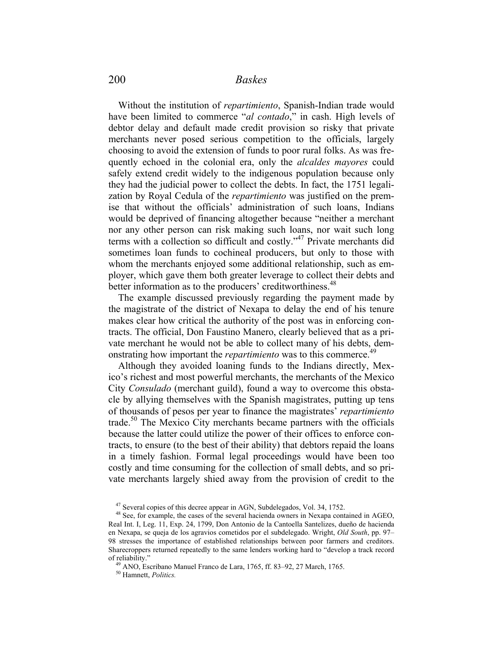Without the institution of *repartimiento*, Spanish-Indian trade would have been limited to commerce "*al contado*," in cash. High levels of debtor delay and default made credit provision so risky that private merchants never posed serious competition to the officials, largely choosing to avoid the extension of funds to poor rural folks. As was frequently echoed in the colonial era, only the *alcaldes mayores* could safely extend credit widely to the indigenous population because only they had the judicial power to collect the debts. In fact, the 1751 legalization by Royal Cedula of the *repartimiento* was justified on the premise that without the officials' administration of such loans, Indians would be deprived of financing altogether because "neither a merchant nor any other person can risk making such loans, nor wait such long terms with a collection so difficult and costly."47 Private merchants did sometimes loan funds to cochineal producers, but only to those with whom the merchants enjoyed some additional relationship, such as employer, which gave them both greater leverage to collect their debts and better information as to the producers' creditworthiness.<sup>48</sup>

 The example discussed previously regarding the payment made by the magistrate of the district of Nexapa to delay the end of his tenure makes clear how critical the authority of the post was in enforcing contracts. The official, Don Faustino Manero, clearly believed that as a private merchant he would not be able to collect many of his debts, demonstrating how important the *repartimiento* was to this commerce.<sup>49</sup>

 Although they avoided loaning funds to the Indians directly, Mexico's richest and most powerful merchants, the merchants of the Mexico City *Consulado* (merchant guild), found a way to overcome this obstacle by allying themselves with the Spanish magistrates, putting up tens of thousands of pesos per year to finance the magistrates' *repartimiento*  trade.50 The Mexico City merchants became partners with the officials because the latter could utilize the power of their offices to enforce contracts, to ensure (to the best of their ability) that debtors repaid the loans in a timely fashion. Formal legal proceedings would have been too costly and time consuming for the collection of small debts, and so private merchants largely shied away from the provision of credit to the

 $47$  Several copies of this decree appear in AGN, Subdelegados, Vol. 34, 1752.<br> $48$  See, for example, the cases of the several hacienda owners in Nexapa contained in AGEO, Real Int. I, Leg. 11, Exp. 24, 1799, Don Antonio de la Cantoella Santelizes, dueño de hacienda en Nexapa, se queja de los agravios cometidos por el subdelegado. Wright, *Old South*, pp. 97– 98 stresses the importance of established relationships between poor farmers and creditors. Sharecroppers returned repeatedly to the same lenders working hard to "develop a track record of reliability." 49 ANO, Escribano Manuel Franco de Lara, 1765, ff. 83–92, 27 March, 1765. 50 Hamnett, *Politics.*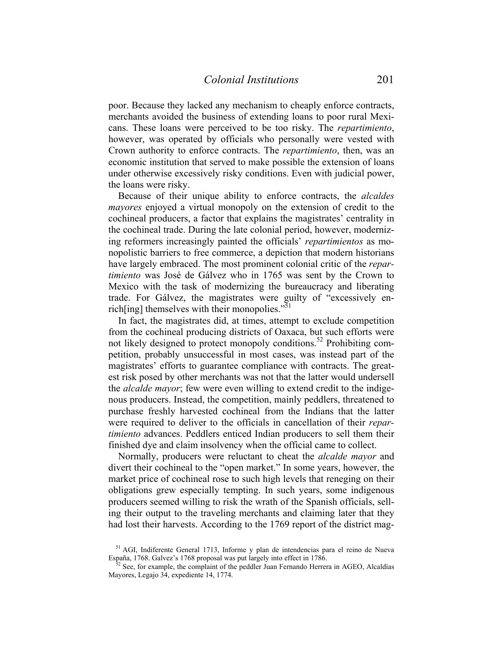poor. Because they lacked any mechanism to cheaply enforce contracts, merchants avoided the business of extending loans to poor rural Mexicans. These loans were perceived to be too risky. The *repartimiento*, however, was operated by officials who personally were vested with Crown authority to enforce contracts. The *repartimiento*, then, was an economic institution that served to make possible the extension of loans under otherwise excessively risky conditions. Even with judicial power, the loans were risky.

 Because of their unique ability to enforce contracts, the *alcaldes mayores* enjoyed a virtual monopoly on the extension of credit to the cochineal producers, a factor that explains the magistrates' centrality in the cochineal trade. During the late colonial period, however, modernizing reformers increasingly painted the officials' *repartimientos* as monopolistic barriers to free commerce, a depiction that modern historians have largely embraced. The most prominent colonial critic of the *repartimiento* was José de Gálvez who in 1765 was sent by the Crown to Mexico with the task of modernizing the bureaucracy and liberating trade. For Gálvez, the magistrates were guilty of "excessively enrich[ing] themselves with their monopolies. $151$ 

 In fact, the magistrates did, at times, attempt to exclude competition from the cochineal producing districts of Oaxaca, but such efforts were not likely designed to protect monopoly conditions.52 Prohibiting competition, probably unsuccessful in most cases, was instead part of the magistrates' efforts to guarantee compliance with contracts. The greatest risk posed by other merchants was not that the latter would undersell the *alcalde mayor*; few were even willing to extend credit to the indigenous producers. Instead, the competition, mainly peddlers, threatened to purchase freshly harvested cochineal from the Indians that the latter were required to deliver to the officials in cancellation of their *repartimiento* advances. Peddlers enticed Indian producers to sell them their finished dye and claim insolvency when the official came to collect.

 Normally, producers were reluctant to cheat the *alcalde mayor* and divert their cochineal to the "open market." In some years, however, the market price of cochineal rose to such high levels that reneging on their obligations grew especially tempting. In such years, some indigenous producers seemed willing to risk the wrath of the Spanish officials, selling their output to the traveling merchants and claiming later that they had lost their harvests. According to the 1769 report of the district mag-

<sup>&</sup>lt;sup>51</sup> AGI, Indiferente General 1713, Informe y plan de intendencias para el reino de Nueva España, 1768. Galvez's 1768 proposal was put largely into effect in 1786.

 $^{52}$  See, for example, the complaint of the peddler Juan Fernando Herrera in AGEO, Alcaldías Mayores, Legajo 34, expediente 14, 1774.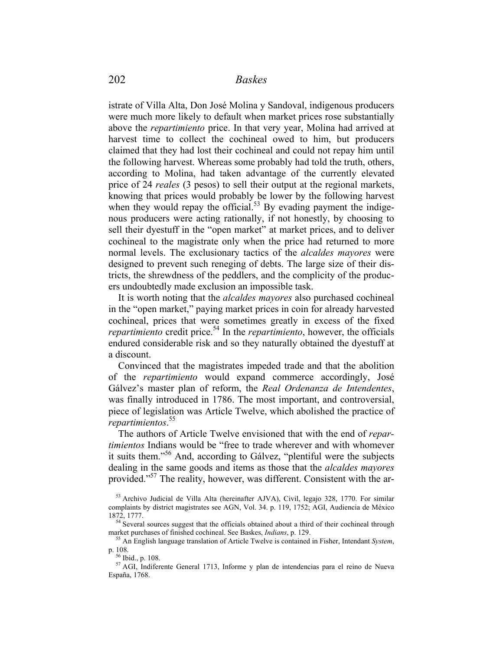istrate of Villa Alta, Don José Molina y Sandoval, indigenous producers were much more likely to default when market prices rose substantially above the *repartimiento* price. In that very year, Molina had arrived at harvest time to collect the cochineal owed to him, but producers claimed that they had lost their cochineal and could not repay him until the following harvest. Whereas some probably had told the truth, others, according to Molina, had taken advantage of the currently elevated price of 24 *reales* (3 pesos) to sell their output at the regional markets, knowing that prices would probably be lower by the following harvest when they would repay the official.<sup>53</sup> By evading payment the indigenous producers were acting rationally, if not honestly, by choosing to sell their dyestuff in the "open market" at market prices, and to deliver cochineal to the magistrate only when the price had returned to more normal levels. The exclusionary tactics of the *alcaldes mayores* were designed to prevent such reneging of debts. The large size of their districts, the shrewdness of the peddlers, and the complicity of the producers undoubtedly made exclusion an impossible task.

 It is worth noting that the *alcaldes mayores* also purchased cochineal in the "open market," paying market prices in coin for already harvested cochineal, prices that were sometimes greatly in excess of the fixed *repartimiento* credit price.<sup>54</sup> In the *repartimiento*, however, the officials endured considerable risk and so they naturally obtained the dyestuff at a discount.

 Convinced that the magistrates impeded trade and that the abolition of the *repartimiento* would expand commerce accordingly, José Gálvez's master plan of reform, the *Real Ordenanza de Intendentes*, was finally introduced in 1786. The most important, and controversial, piece of legislation was Article Twelve, which abolished the practice of *repartimientos*. 55

 The authors of Article Twelve envisioned that with the end of *repartimientos* Indians would be "free to trade wherever and with whomever it suits them."56 And, according to Gálvez, "plentiful were the subjects dealing in the same goods and items as those that the *alcaldes mayores*  provided."<sup>57</sup> The reality, however, was different. Consistent with the ar-

<sup>53</sup> Archivo Judicial de Villa Alta (hereinafter AJVA), Civil, legajo 328, 1770. For similar complaints by district magistrates see AGN, Vol. 34. p. 119, 1752; AGI, Audiencia de México

<sup>1872, 1777.&</sup>lt;br> $54$  Several sources suggest that the officials obtained about a third of their cochineal through market purchases of finished cochineal. See Baskes, *Indians*, p. 129.<br><sup>55</sup> An English language translation of Article Twelve is contained in Fisher, Intendant *System*,

p. 108. 56 Ibid., p. 108.

<sup>57</sup> AGI, Indiferente General 1713, Informe y plan de intendencias para el reino de Nueva España, 1768.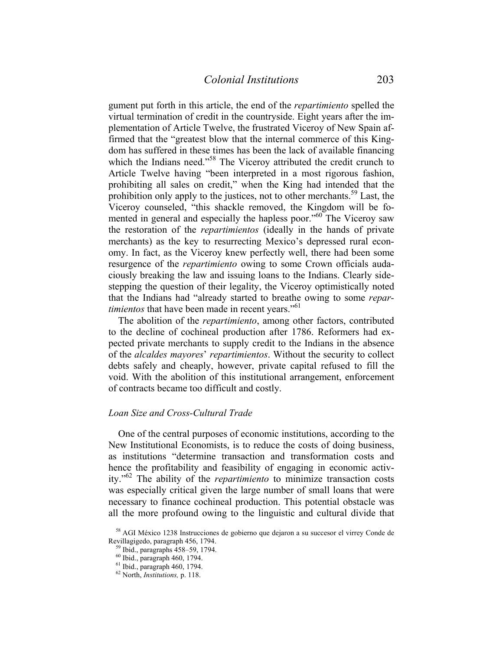gument put forth in this article, the end of the *repartimiento* spelled the virtual termination of credit in the countryside. Eight years after the implementation of Article Twelve, the frustrated Viceroy of New Spain affirmed that the "greatest blow that the internal commerce of this Kingdom has suffered in these times has been the lack of available financing which the Indians need."<sup>58</sup> The Viceroy attributed the credit crunch to Article Twelve having "been interpreted in a most rigorous fashion, prohibiting all sales on credit," when the King had intended that the prohibition only apply to the justices, not to other merchants.<sup>59</sup> Last, the Viceroy counseled, "this shackle removed, the Kingdom will be fomented in general and especially the hapless poor."<sup>60</sup> The Viceroy saw the restoration of the *repartimientos* (ideally in the hands of private merchants) as the key to resurrecting Mexico's depressed rural economy. In fact, as the Viceroy knew perfectly well, there had been some resurgence of the *repartimiento* owing to some Crown officials audaciously breaking the law and issuing loans to the Indians. Clearly sidestepping the question of their legality, the Viceroy optimistically noted that the Indians had "already started to breathe owing to some *repartimientos* that have been made in recent years."<sup>61</sup>

 The abolition of the *repartimiento*, among other factors, contributed to the decline of cochineal production after 1786. Reformers had expected private merchants to supply credit to the Indians in the absence of the *alcaldes mayores*' *repartimientos*. Without the security to collect debts safely and cheaply, however, private capital refused to fill the void. With the abolition of this institutional arrangement, enforcement of contracts became too difficult and costly.

#### *Loan Size and Cross-Cultural Trade*

One of the central purposes of economic institutions, according to the New Institutional Economists, is to reduce the costs of doing business, as institutions "determine transaction and transformation costs and hence the profitability and feasibility of engaging in economic activity."62 The ability of the *repartimiento* to minimize transaction costs was especially critical given the large number of small loans that were necessary to finance cochineal production. This potential obstacle was all the more profound owing to the linguistic and cultural divide that

<sup>58</sup> AGI México 1238 Instrucciones de gobierno que dejaron a su succesor el virrey Conde de Revillagigedo, paragraph 456, 1794. 59 Ibid., paragraphs 458–59, 1794.

<sup>60</sup> Ibid., paragraph 460, 1794.

<sup>61</sup> Ibid., paragraph 460, 1794.

<sup>62</sup> North, *Institutions,* p. 118.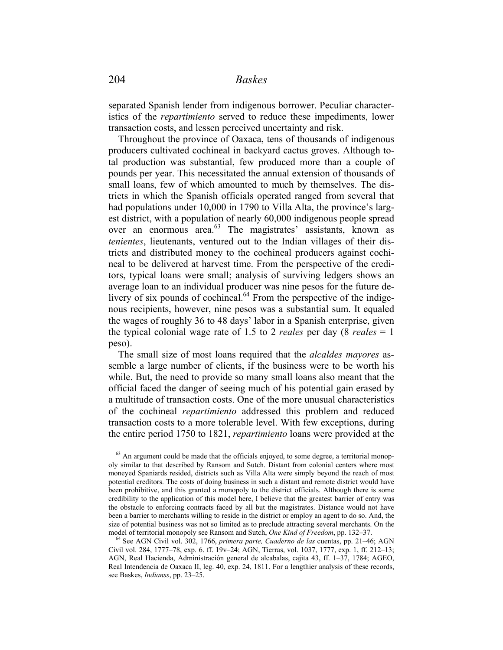separated Spanish lender from indigenous borrower. Peculiar characteristics of the *repartimiento* served to reduce these impediments, lower transaction costs, and lessen perceived uncertainty and risk.

 Throughout the province of Oaxaca, tens of thousands of indigenous producers cultivated cochineal in backyard cactus groves. Although total production was substantial, few produced more than a couple of pounds per year. This necessitated the annual extension of thousands of small loans, few of which amounted to much by themselves. The districts in which the Spanish officials operated ranged from several that had populations under 10,000 in 1790 to Villa Alta, the province's largest district, with a population of nearly 60,000 indigenous people spread over an enormous area.63 The magistrates' assistants, known as *tenientes*, lieutenants, ventured out to the Indian villages of their districts and distributed money to the cochineal producers against cochineal to be delivered at harvest time. From the perspective of the creditors, typical loans were small; analysis of surviving ledgers shows an average loan to an individual producer was nine pesos for the future delivery of six pounds of cochineal.<sup>64</sup> From the perspective of the indigenous recipients, however, nine pesos was a substantial sum. It equaled the wages of roughly 36 to 48 days' labor in a Spanish enterprise, given the typical colonial wage rate of 1.5 to 2 *reales* per day (8 *reales* = 1 peso).

 The small size of most loans required that the *alcaldes mayores* assemble a large number of clients, if the business were to be worth his while. But, the need to provide so many small loans also meant that the official faced the danger of seeing much of his potential gain erased by a multitude of transaction costs. One of the more unusual characteristics of the cochineal *repartimiento* addressed this problem and reduced transaction costs to a more tolerable level. With few exceptions, during the entire period 1750 to 1821, *repartimiento* loans were provided at the

 $63$  An argument could be made that the officials enjoyed, to some degree, a territorial monopoly similar to that described by Ransom and Sutch. Distant from colonial centers where most moneyed Spaniards resided, districts such as Villa Alta were simply beyond the reach of most potential creditors. The costs of doing business in such a distant and remote district would have been prohibitive, and this granted a monopoly to the district officials. Although there is some credibility to the application of this model here, I believe that the greatest barrier of entry was the obstacle to enforcing contracts faced by all but the magistrates. Distance would not have been a barrier to merchants willing to reside in the district or employ an agent to do so. And, the size of potential business was not so limited as to preclude attracting several merchants. On the

model of territorial monopoly see Ransom and Sutch, *One Kind of Freedom*, pp. 132–37.<br><sup>64</sup> See AGN Civil vol. 302, 1766, *primera parte, Cuaderno de las* cuentas, pp. 21–46; AGN Civil vol. 284, 1777–78, exp. 6. ff. 19v–24; AGN, Tierras, vol. 1037, 1777, exp. 1, ff. 212–13; AGN, Real Hacienda, Administración general de alcabalas, cajita 43, ff. 1–37, 1784; AGEO, Real Intendencia de Oaxaca II, leg. 40, exp. 24, 1811. For a lengthier analysis of these records, see Baskes, *Indianss*, pp. 23–25.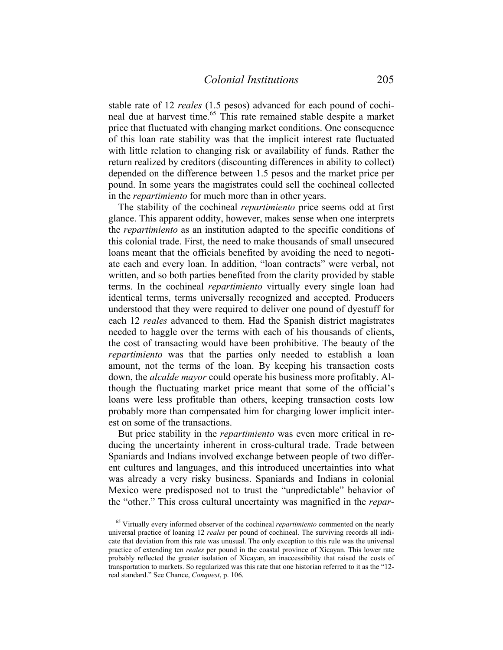stable rate of 12 *reales* (1.5 pesos) advanced for each pound of cochineal due at harvest time.<sup>65</sup> This rate remained stable despite a market price that fluctuated with changing market conditions. One consequence of this loan rate stability was that the implicit interest rate fluctuated with little relation to changing risk or availability of funds. Rather the return realized by creditors (discounting differences in ability to collect) depended on the difference between 1.5 pesos and the market price per pound. In some years the magistrates could sell the cochineal collected in the *repartimiento* for much more than in other years.

 The stability of the cochineal *repartimiento* price seems odd at first glance. This apparent oddity, however, makes sense when one interprets the *repartimiento* as an institution adapted to the specific conditions of this colonial trade. First, the need to make thousands of small unsecured loans meant that the officials benefited by avoiding the need to negotiate each and every loan. In addition, "loan contracts" were verbal, not written, and so both parties benefited from the clarity provided by stable terms. In the cochineal *repartimiento* virtually every single loan had identical terms, terms universally recognized and accepted. Producers understood that they were required to deliver one pound of dyestuff for each 12 *reales* advanced to them. Had the Spanish district magistrates needed to haggle over the terms with each of his thousands of clients, the cost of transacting would have been prohibitive. The beauty of the *repartimiento* was that the parties only needed to establish a loan amount, not the terms of the loan. By keeping his transaction costs down, the *alcalde mayor* could operate his business more profitably. Although the fluctuating market price meant that some of the official's loans were less profitable than others, keeping transaction costs low probably more than compensated him for charging lower implicit interest on some of the transactions.

 But price stability in the *repartimiento* was even more critical in reducing the uncertainty inherent in cross-cultural trade. Trade between Spaniards and Indians involved exchange between people of two different cultures and languages, and this introduced uncertainties into what was already a very risky business. Spaniards and Indians in colonial Mexico were predisposed not to trust the "unpredictable" behavior of the "other." This cross cultural uncertainty was magnified in the *repar-*

<sup>65</sup> Virtually every informed observer of the cochineal *repartimiento* commented on the nearly universal practice of loaning 12 *reales* per pound of cochineal. The surviving records all indicate that deviation from this rate was unusual. The only exception to this rule was the universal practice of extending ten *reales* per pound in the coastal province of Xicayan. This lower rate probably reflected the greater isolation of Xicayan, an inaccessibility that raised the costs of transportation to markets. So regularized was this rate that one historian referred to it as the "12 real standard." See Chance, *Conquest*, p. 106.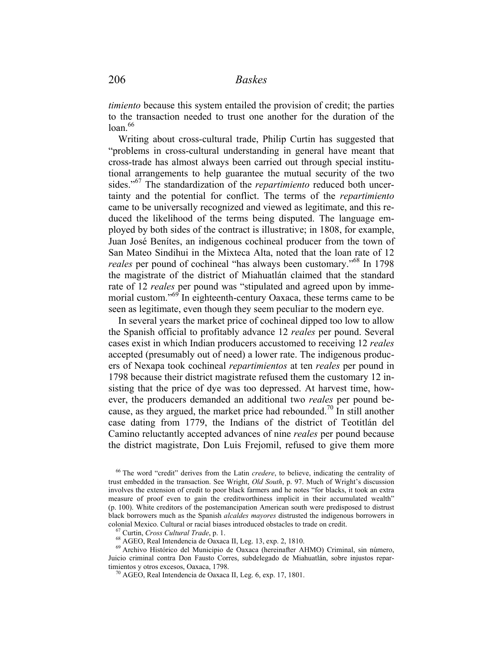*timiento* because this system entailed the provision of credit; the parties to the transaction needed to trust one another for the duration of the  $\frac{1}{2}$ loan.<sup>66</sup>

 Writing about cross-cultural trade, Philip Curtin has suggested that "problems in cross-cultural understanding in general have meant that cross-trade has almost always been carried out through special institutional arrangements to help guarantee the mutual security of the two sides."67 The standardization of the *repartimiento* reduced both uncertainty and the potential for conflict. The terms of the *repartimiento* came to be universally recognized and viewed as legitimate, and this reduced the likelihood of the terms being disputed. The language employed by both sides of the contract is illustrative; in 1808, for example, Juan José Benítes, an indigenous cochineal producer from the town of San Mateo Sindihui in the Mixteca Alta, noted that the loan rate of 12 *reales* per pound of cochineal "has always been customary."<sup>68</sup> In 1798 the magistrate of the district of Miahuatlán claimed that the standard rate of 12 *reales* per pound was "stipulated and agreed upon by immemorial custom."<sup>69</sup> In eighteenth-century Oaxaca, these terms came to be seen as legitimate, even though they seem peculiar to the modern eye.

 In several years the market price of cochineal dipped too low to allow the Spanish official to profitably advance 12 *reales* per pound. Several cases exist in which Indian producers accustomed to receiving 12 *reales* accepted (presumably out of need) a lower rate. The indigenous producers of Nexapa took cochineal *repartimientos* at ten *reales* per pound in 1798 because their district magistrate refused them the customary 12 insisting that the price of dye was too depressed. At harvest time, however, the producers demanded an additional two *reales* per pound because, as they argued, the market price had rebounded.<sup>70</sup> In still another case dating from 1779, the Indians of the district of Teotitlán del Camino reluctantly accepted advances of nine *reales* per pound because the district magistrate, Don Luis Frejomil, refused to give them more

<sup>66</sup> The word "credit" derives from the Latin *credere*, to believe, indicating the centrality of trust embedded in the transaction. See Wright, *Old South*, p. 97. Much of Wright's discussion involves the extension of credit to poor black farmers and he notes "for blacks, it took an extra measure of proof even to gain the creditworthiness implicit in their accumulated wealth" (p. 100). White creditors of the postemancipation American south were predisposed to distrust black borrowers much as the Spanish *alcaldes mayores* distrusted the indigenous borrowers in colonial Mexico. Cultural or racial biases introduced obstacles to trade on credit.<br><sup>67</sup> Curtin, *Cross Cultural Trade*, p. 1.<br><sup>68</sup> AGEO, Real Intendencia de Oaxaca II, Leg. 13, exp. 2, 1810.<br><sup>69</sup> Archivo Histórico del Mun

Juicio criminal contra Don Fausto Corres, subdelegado de Miahuatlán, sobre injustos repartimientos y otros excesos, Oaxaca, 1798.<br><sup>70</sup> AGEO, Real Intendencia de Oaxaca II, Leg. 6, exp. 17, 1801.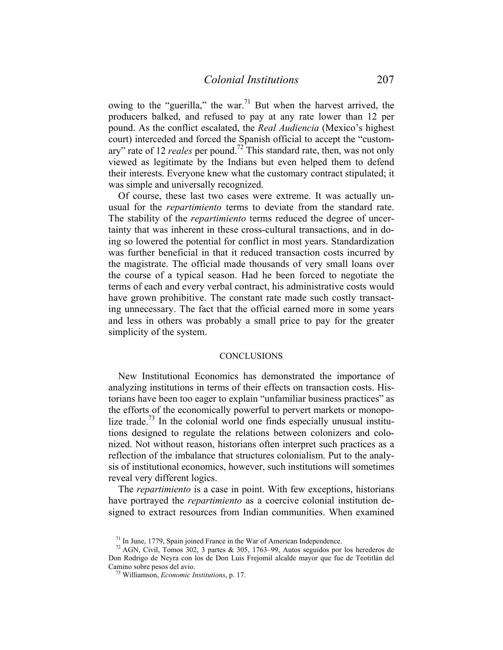owing to the "guerilla," the war.<sup>71</sup> But when the harvest arrived, the producers balked, and refused to pay at any rate lower than 12 per pound. As the conflict escalated, the *Real Audiencia* (Mexico's highest court) interceded and forced the Spanish official to accept the "customary" rate of 12 *reales* per pound.72 This standard rate, then, was not only viewed as legitimate by the Indians but even helped them to defend their interests. Everyone knew what the customary contract stipulated; it was simple and universally recognized.

 Of course, these last two cases were extreme. It was actually unusual for the *repartimiento* terms to deviate from the standard rate. The stability of the *repartimiento* terms reduced the degree of uncertainty that was inherent in these cross-cultural transactions, and in doing so lowered the potential for conflict in most years. Standardization was further beneficial in that it reduced transaction costs incurred by the magistrate. The official made thousands of very small loans over the course of a typical season. Had he been forced to negotiate the terms of each and every verbal contract, his administrative costs would have grown prohibitive. The constant rate made such costly transacting unnecessary. The fact that the official earned more in some years and less in others was probably a small price to pay for the greater simplicity of the system.

#### **CONCLUSIONS**

 New Institutional Economics has demonstrated the importance of analyzing institutions in terms of their effects on transaction costs. Historians have been too eager to explain "unfamiliar business practices" as the efforts of the economically powerful to pervert markets or monopolize trade.<sup>73</sup> In the colonial world one finds especially unusual institutions designed to regulate the relations between colonizers and colonized. Not without reason, historians often interpret such practices as a reflection of the imbalance that structures colonialism. Put to the analysis of institutional economics, however, such institutions will sometimes reveal very different logics.

 The *repartimiento* is a case in point. With few exceptions, historians have portrayed the *repartimiento* as a coercive colonial institution designed to extract resources from Indian communities. When examined

<sup>&</sup>lt;sup>71</sup> In June, 1779, Spain joined France in the War of American Independence.<br><sup>72</sup> AGN, Civil, Tomos 302, 3 partes & 305, 1763–99, Autos seguidos por los herederos de Don Rodrigo de Neyra con los de Don Luis Frejomil alcalde mayor que fue de Teotitlán del Camino sobre pesos del avio. 73 Williamson, *Economic Institutions*, p. 17.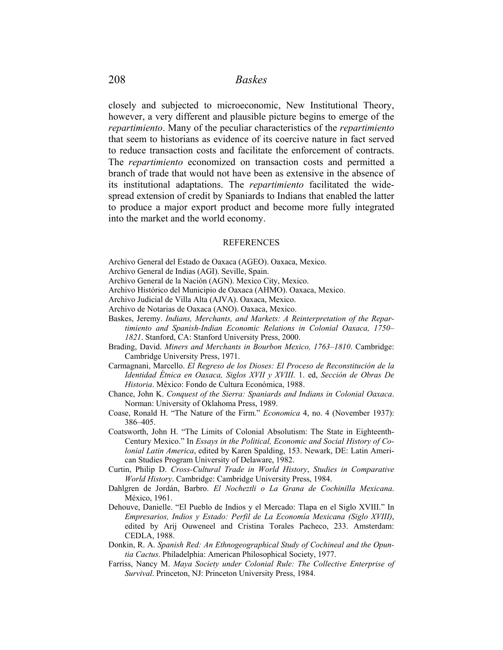closely and subjected to microeconomic, New Institutional Theory, however, a very different and plausible picture begins to emerge of the *repartimiento*. Many of the peculiar characteristics of the *repartimiento* that seem to historians as evidence of its coercive nature in fact served to reduce transaction costs and facilitate the enforcement of contracts. The *repartimiento* economized on transaction costs and permitted a branch of trade that would not have been as extensive in the absence of its institutional adaptations. The *repartimiento* facilitated the widespread extension of credit by Spaniards to Indians that enabled the latter to produce a major export product and become more fully integrated into the market and the world economy.

#### REFERENCES

Archivo General del Estado de Oaxaca (AGEO). Oaxaca, Mexico.

- Archivo General de Indias (AGI). Seville, Spain.
- Archivo General de la Nación (AGN). Mexico City, Mexico.
- Archivo Histórico del Municipio de Oaxaca (AHMO). Oaxaca, Mexico.
- Archivo Judicial de Villa Alta (AJVA). Oaxaca, Mexico.
- Archivo de Notarias de Oaxaca (ANO). Oaxaca, Mexico.
- Baskes, Jeremy. *Indians, Merchants, and Markets: A Reinterpretation of the Repartimiento and Spanish-Indian Economic Relations in Colonial Oaxaca, 1750– 1821*. Stanford, CA: Stanford University Press, 2000.
- Brading, David. *Miners and Merchants in Bourbon Mexico, 1763–1810*. Cambridge: Cambridge University Press, 1971.
- Carmagnani, Marcello. *El Regreso de los Dioses: El Proceso de Reconstitución de la Identidad Étnica en Oaxaca, Siglos XVII y XVIII*. 1. ed, *Sección de Obras De Historia*. México: Fondo de Cultura Económica, 1988.
- Chance, John K. *Conquest of the Sierra: Spaniards and Indians in Colonial Oaxaca*. Norman: University of Oklahoma Press, 1989.
- Coase, Ronald H. "The Nature of the Firm." *Economica* 4, no. 4 (November 1937): 386–405.
- Coatsworth, John H. "The Limits of Colonial Absolutism: The State in Eighteenth-Century Mexico." In *Essays in the Political, Economic and Social History of Colonial Latin America*, edited by Karen Spalding, 153. Newark, DE: Latin American Studies Program University of Delaware, 1982.
- Curtin, Philip D. *Cross-Cultural Trade in World History*, *Studies in Comparative World History*. Cambridge: Cambridge University Press, 1984.
- Dahlgren de Jordán, Barbro. *El Nocheztli o La Grana de Cochinilla Mexicana*. México, 1961.
- Dehouve, Danielle. "El Pueblo de Indios y el Mercado: Tlapa en el Siglo XVIII." In *Empresarios, Indios y Estado: Perfil de La Economía Mexicana (Siglo XVIII)*, edited by Arij Ouweneel and Cristina Torales Pacheco, 233. Amsterdam: CEDLA, 1988.
- Donkin, R. A. *Spanish Red: An Ethnogeographical Study of Cochineal and the Opuntia Cactus*. Philadelphia: American Philosophical Society, 1977.
- Farriss, Nancy M. *Maya Society under Colonial Rule: The Collective Enterprise of Survival*. Princeton, NJ: Princeton University Press, 1984.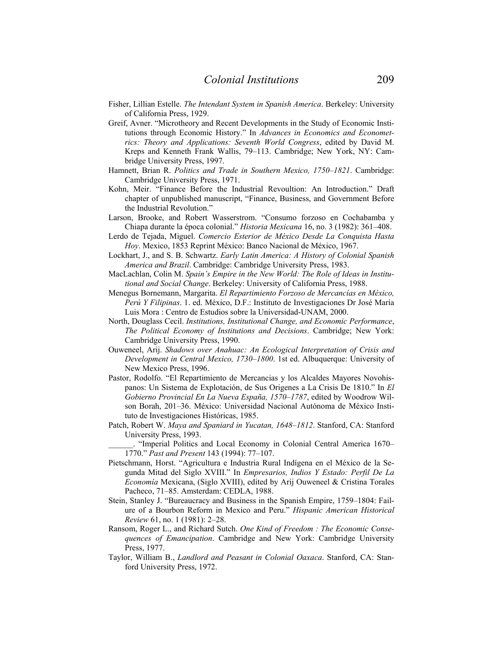- Fisher, Lillian Estelle. *The Intendant System in Spanish America*. Berkeley: University of California Press, 1929.
- Greif, Avner. "Microtheory and Recent Developments in the Study of Economic Institutions through Economic History." In *Advances in Economics and Econometrics: Theory and Applications: Seventh World Congress*, edited by David M. Kreps and Kenneth Frank Wallis, 79–113. Cambridge; New York, NY: Cambridge University Press, 1997.
- Hamnett, Brian R. *Politics and Trade in Southern Mexico, 1750–1821*. Cambridge: Cambridge University Press, 1971.
- Kohn, Meir. "Finance Before the Industrial Revoultion: An Introduction." Draft chapter of unpublished manuscript, "Finance, Business, and Government Before the Industrial Revolution."
- Larson, Brooke, and Robert Wasserstrom. "Consumo forzoso en Cochabamba y Chiapa durante la época colonial." *Historia Mexicana* 16, no. 3 (1982): 361–408.
- Lerdo de Tejada, Miguel. *Comercio Esterior de México Desde La Conquista Hasta Hoy*. Mexico, 1853 Reprint México: Banco Nacional de México, 1967.
- Lockhart, J., and S. B. Schwartz. *Early Latin America: A History of Colonial Spanish America and Brazil*. Cambridge: Cambridge University Press, 1983.
- MacLachlan, Colin M. *Spain's Empire in the New World: The Role of Ideas in Institutional and Social Change*. Berkeley: University of California Press, 1988.
- Menegus Bornemann, Margarita. *El Repartimiento Forzoso de Mercancías en México, Perú Y Filipinas*. 1. ed. México, D.F.: Instituto de Investigaciones Dr José María Luis Mora : Centro de Estudios sobre la Universidad-UNAM, 2000.
- North, Douglass Cecil. *Institutions, Institutional Change, and Economic Performance*, *The Political Economy of Institutions and Decisions*. Cambridge; New York: Cambridge University Press, 1990.
- Ouweneel, Arij. *Shadows over Anahuac: An Ecological Interpretation of Crisis and Development in Central Mexico, 1730–1800*. 1st ed. Albuquerque: University of New Mexico Press, 1996.
- Pastor, Rodolfo. "El Repartimiento de Mercancias y los Alcaldes Mayores Novohispanos: Un Sistema de Explotación, de Sus Origenes a La Crisis De 1810." In *El Gobierno Provincial En La Nueva España, 1570–1787*, edited by Woodrow Wilson Borah, 201–36. México: Universidad Nacional Autónoma de México Instituto de Investigaciones Históricas, 1985.
- Patch, Robert W. *Maya and Spaniard in Yucatan, 1648–1812*. Stanford, CA: Stanford University Press, 1993.

\_\_\_\_\_\_. "Imperial Politics and Local Economy in Colonial Central America 1670– 1770." *Past and Present* 143 (1994): 77–107.

- Pietschmann, Horst. "Agricultura e Industria Rural Indígena en el México de la Segunda Mitad del Siglo XVIII." In *Empresarios, Indios Y Estado: Perfil De La Economía* Mexicana, (Siglo XVIII), edited by Arij Ouweneel & Cristina Torales Pacheco, 71–85. Amsterdam: CEDLA, 1988.
- Stein, Stanley J. "Bureaucracy and Business in the Spanish Empire, 1759–1804: Failure of a Bourbon Reform in Mexico and Peru." *Hispanic American Historical Review* 61, no. 1 (1981): 2–28.
- Ransom, Roger L., and Richard Sutch. *One Kind of Freedom : The Economic Consequences of Emancipation*. Cambridge and New York: Cambridge University Press, 1977.
- Taylor, William B., *Landlord and Peasant in Colonial Oaxaca*. Stanford, CA: Stanford University Press, 1972.